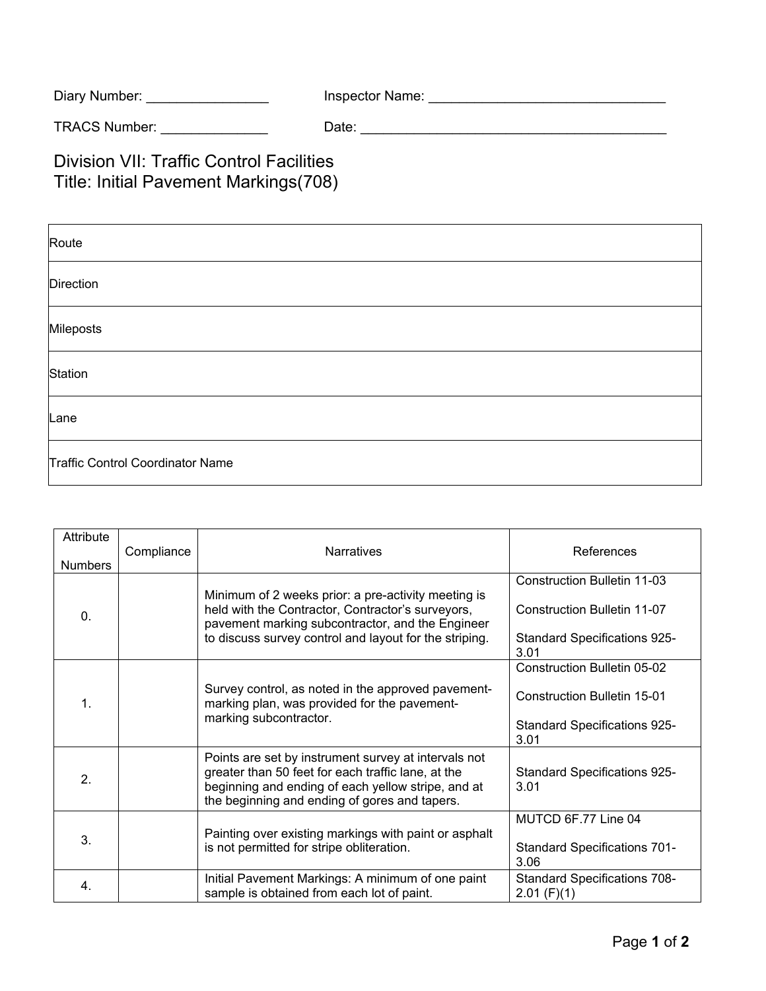| Diary Number: | Inspector Name: |
|---------------|-----------------|
|---------------|-----------------|

TRACS Number: \_\_\_\_\_\_\_\_\_\_\_\_\_\_ Date: \_\_\_\_\_\_\_\_\_\_\_\_\_\_\_\_\_\_\_\_\_\_\_\_\_\_\_\_\_\_\_\_\_\_\_\_\_\_\_\_

Division VII: Traffic Control Facilities Title: Initial Pavement Markings(708)

| Route                            |
|----------------------------------|
| Direction                        |
| Mileposts                        |
| Station                          |
| Lane                             |
| Traffic Control Coordinator Name |

| Attribute<br><b>Numbers</b> | Compliance | <b>Narratives</b>                                                                                                                                                                                                      | References                                                                                                              |
|-----------------------------|------------|------------------------------------------------------------------------------------------------------------------------------------------------------------------------------------------------------------------------|-------------------------------------------------------------------------------------------------------------------------|
| 0.                          |            | Minimum of 2 weeks prior: a pre-activity meeting is<br>held with the Contractor, Contractor's surveyors,<br>pavement marking subcontractor, and the Engineer<br>to discuss survey control and layout for the striping. | <b>Construction Bulletin 11-03</b><br>Construction Bulletin 11-07<br><b>Standard Specifications 925-</b><br>3.01        |
| 1.                          |            | Survey control, as noted in the approved pavement-<br>marking plan, was provided for the pavement-<br>marking subcontractor.                                                                                           | <b>Construction Bulletin 05-02</b><br><b>Construction Bulletin 15-01</b><br><b>Standard Specifications 925-</b><br>3.01 |
| 2.                          |            | Points are set by instrument survey at intervals not<br>greater than 50 feet for each traffic lane, at the<br>beginning and ending of each yellow stripe, and at<br>the beginning and ending of gores and tapers.      | <b>Standard Specifications 925-</b><br>3.01                                                                             |
| 3.                          |            | Painting over existing markings with paint or asphalt<br>is not permitted for stripe obliteration.                                                                                                                     | MUTCD 6F.77 Line 04<br><b>Standard Specifications 701-</b><br>3.06                                                      |
| 4.                          |            | Initial Pavement Markings: A minimum of one paint<br>sample is obtained from each lot of paint.                                                                                                                        | <b>Standard Specifications 708-</b><br>$2.01$ (F)(1)                                                                    |